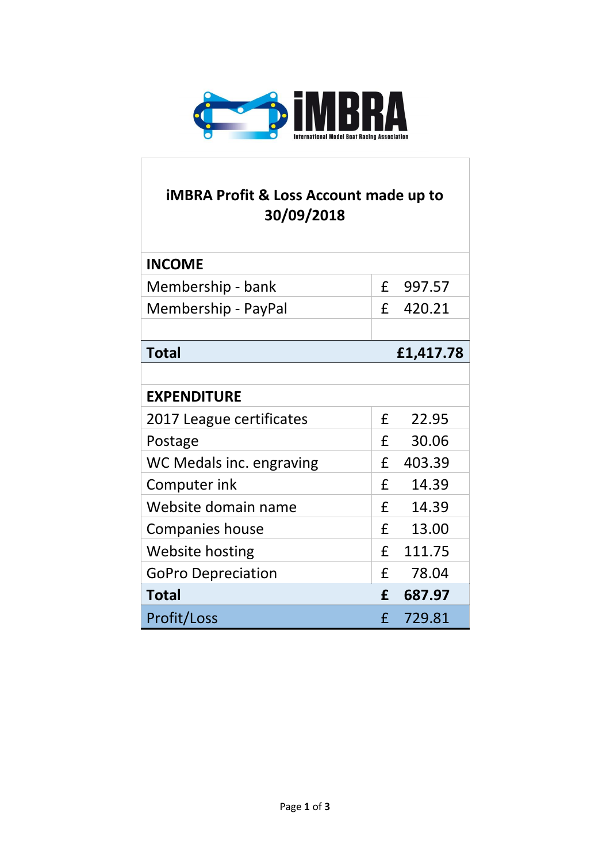

## **iMBRA Profit & Loss Account made up to 30/09/2018**

| <b>INCOME</b>             |         |           |
|---------------------------|---------|-----------|
| Membership - bank         | $f_{-}$ | 997.57    |
| Membership - PayPal       | £       | 420.21    |
|                           |         |           |
| <b>Total</b>              |         | £1,417.78 |
|                           |         |           |
| <b>EXPENDITURE</b>        |         |           |
| 2017 League certificates  | £       | 22.95     |
| Postage                   | £       | 30.06     |
| WC Medals inc. engraving  | £       | 403.39    |
| Computer ink              | £       | 14.39     |
| Website domain name       | £       | 14.39     |
| Companies house           | £       | 13.00     |
| <b>Website hosting</b>    | £       | 111.75    |
| <b>GoPro Depreciation</b> | £       | 78.04     |
| <b>Total</b>              | £       | 687.97    |
| <b>Profit/Loss</b>        | f       | 729.81    |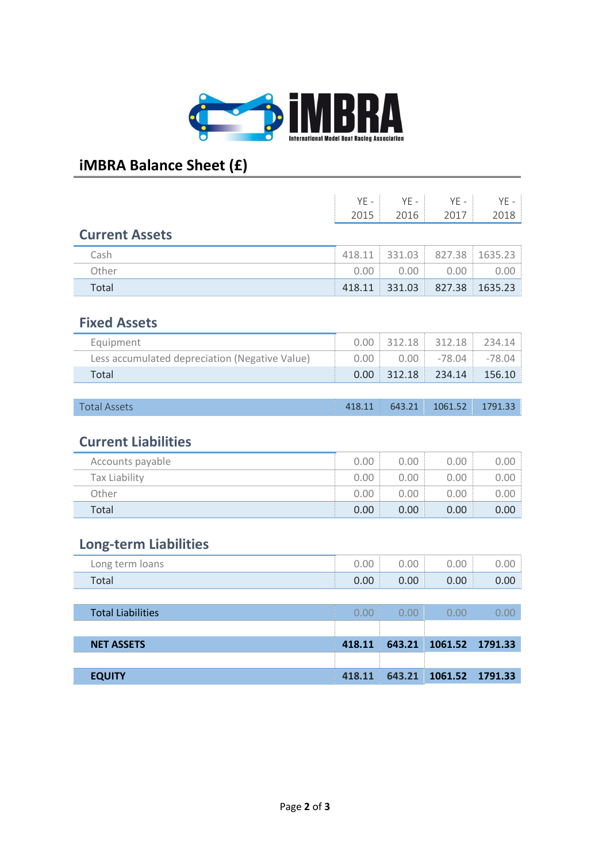

# **iMBRA Balance Sheet (£)**

|                                                | $YF -$ | $YF -$ | $YE -$   | $YE -$   |
|------------------------------------------------|--------|--------|----------|----------|
|                                                | 2015   | 2016   | 2017     | 2018     |
| <b>Current Assets</b>                          |        |        |          |          |
| Cash                                           | 418.11 | 331.03 | 827.38   | 1635.23  |
| Other                                          | 0.00   | 0.00   | 0.00     | 0.00     |
|                                                |        | 331.03 | 827.38   | 1635.23  |
| Total                                          | 418.11 |        |          |          |
| <b>Fixed Assets</b>                            |        |        |          |          |
| Equipment                                      | 0.00   | 312.18 | 312.18   | 234.14   |
| Less accumulated depreciation (Negative Value) | 0.00   | 0.00   | $-78.04$ | $-78.04$ |
| Total                                          | 0.00   | 312.18 | 234.14   | 156.10   |
|                                                |        |        |          |          |
| <b>Total Assets</b>                            | 418.11 | 643.21 | 1061.52  | 1791.33  |

### **Current Liabilities**

| Accounts payable | 0.00 | 0.00 | 0.00 | 0.00 |
|------------------|------|------|------|------|
| Tax Liability    | 0.00 | 0.00 | 0.00 | 0.00 |
| Other            | 0.00 | 0.00 | 0.00 | 0.00 |
| Total            | 0.00 | 0.00 | 0.00 | 0.00 |

### **Long-term Liabilities**

| Long term loans | 0.00 | 0.00 | 0.00 | 0.00 |
|-----------------|------|------|------|------|
| Total           | 0.00 | 0.00 | 0.00 | 0.00 |

| <b>Total Liabilities</b> | 0.00   | 0.00 | 0.00                          | O OO |
|--------------------------|--------|------|-------------------------------|------|
|                          |        |      |                               |      |
| <b>NET ASSETS</b>        | 418.11 |      | 643.21 1061.52 1791.33        |      |
|                          |        |      |                               |      |
| <b>EQUITY</b>            |        |      | 418.11 643.21 1061.52 1791.33 |      |